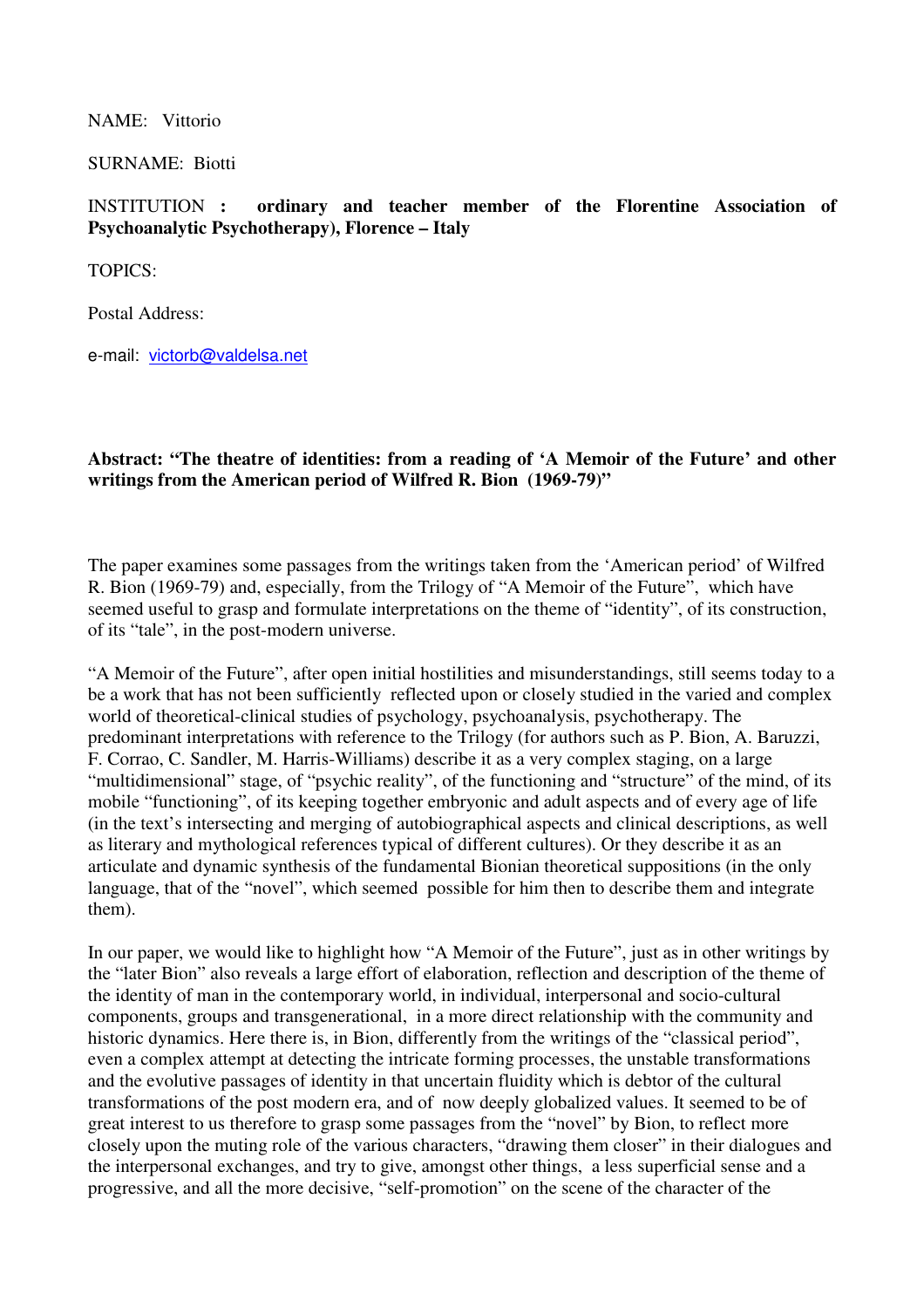NAME: Vittorio

SURNAME: Biotti

INSTITUTION **: ordinary and teacher member of the Florentine Association of Psychoanalytic Psychotherapy), Florence – Italy** 

TOPICS:

Postal Address:

e-mail: victorb@valdelsa.net

## **Abstract: "The theatre of identities: from a reading of 'A Memoir of the Future' and other writings from the American period of Wilfred R. Bion (1969-79)"**

The paper examines some passages from the writings taken from the 'American period' of Wilfred R. Bion (1969-79) and, especially, from the Trilogy of "A Memoir of the Future", which have seemed useful to grasp and formulate interpretations on the theme of "identity", of its construction, of its "tale", in the post-modern universe.

"A Memoir of the Future", after open initial hostilities and misunderstandings, still seems today to a be a work that has not been sufficiently reflected upon or closely studied in the varied and complex world of theoretical-clinical studies of psychology, psychoanalysis, psychotherapy. The predominant interpretations with reference to the Trilogy (for authors such as P. Bion, A. Baruzzi, F. Corrao, C. Sandler, M. Harris-Williams) describe it as a very complex staging, on a large "multidimensional" stage, of "psychic reality", of the functioning and "structure" of the mind, of its mobile "functioning", of its keeping together embryonic and adult aspects and of every age of life (in the text's intersecting and merging of autobiographical aspects and clinical descriptions, as well as literary and mythological references typical of different cultures). Or they describe it as an articulate and dynamic synthesis of the fundamental Bionian theoretical suppositions (in the only language, that of the "novel", which seemed possible for him then to describe them and integrate them).

In our paper, we would like to highlight how "A Memoir of the Future", just as in other writings by the "later Bion" also reveals a large effort of elaboration, reflection and description of the theme of the identity of man in the contemporary world, in individual, interpersonal and socio-cultural components, groups and transgenerational, in a more direct relationship with the community and historic dynamics. Here there is, in Bion, differently from the writings of the "classical period", even a complex attempt at detecting the intricate forming processes, the unstable transformations and the evolutive passages of identity in that uncertain fluidity which is debtor of the cultural transformations of the post modern era, and of now deeply globalized values. It seemed to be of great interest to us therefore to grasp some passages from the "novel" by Bion, to reflect more closely upon the muting role of the various characters, "drawing them closer" in their dialogues and the interpersonal exchanges, and try to give, amongst other things, a less superficial sense and a progressive, and all the more decisive, "self-promotion" on the scene of the character of the